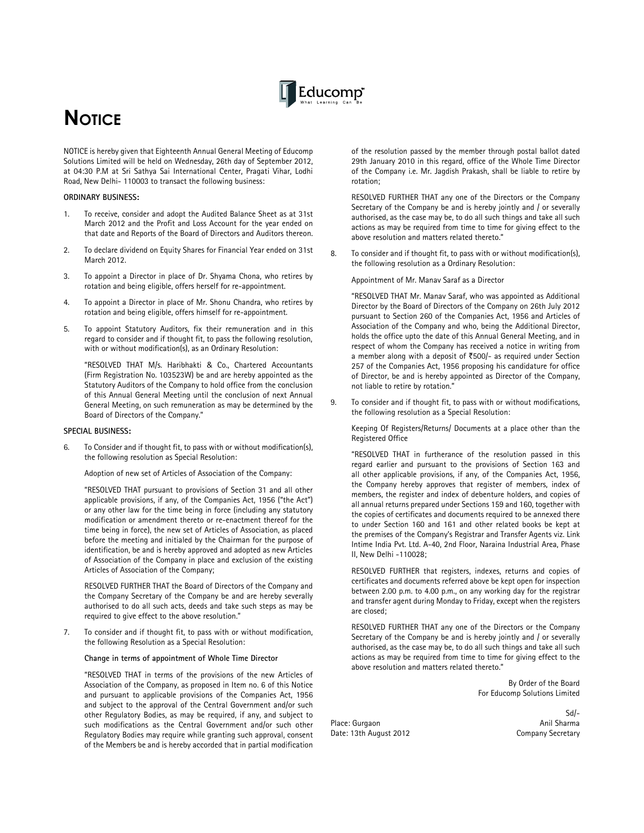

# **NOTICE**

NOTICE is hereby given that Eighteenth Annual General Meeting of Educomp Solutions Limited will be held on Wednesday, 26th day of September 2012, at 04:30 P.M at Sri Sathya Sai International Center, Pragati Vihar, Lodhi Road, New Delhi- 110003 to transact the following business:

#### **ORDINARY BUSINESS:**

- 1. To receive, consider and adopt the Audited Balance Sheet as at 31st March 2012 and the Profit and Loss Account for the year ended on that date and Reports of the Board of Directors and Auditors thereon.
- 2. To declare dividend on Equity Shares for Financial Year ended on 31st March 2012.
- 3. To appoint a Director in place of Dr. Shyama Chona, who retires by rotation and being eligible, offers herself for re-appointment.
- 4. To appoint a Director in place of Mr. Shonu Chandra, who retires by rotation and being eligible, offers himself for re-appointment.
- 5. To appoint Statutory Auditors, fix their remuneration and in this regard to consider and if thought fit, to pass the following resolution, with or without modification(s), as an Ordinary Resolution:

 "RESOLVED THAT M/s. Haribhakti & Co., Chartered Accountants (Firm Registration No. 103523W) be and are hereby appointed as the Statutory Auditors of the Company to hold office from the conclusion of this Annual General Meeting until the conclusion of next Annual General Meeting, on such remuneration as may be determined by the Board of Directors of the Company."

### **SPECIAL BUSINESS:**

6. To Consider and if thought fit, to pass with or without modification(s), the following resolution as Special Resolution:

Adoption of new set of Articles of Association of the Company:

 "RESOLVED THAT pursuant to provisions of Section 31 and all other applicable provisions, if any, of the Companies Act, 1956 ("the Act") or any other law for the time being in force (including any statutory modification or amendment thereto or re-enactment thereof for the time being in force), the new set of Articles of Association, as placed before the meeting and initialed by the Chairman for the purpose of identification, be and is hereby approved and adopted as new Articles of Association of the Company in place and exclusion of the existing Articles of Association of the Company;

 RESOLVED FURTHER THAT the Board of Directors of the Company and the Company Secretary of the Company be and are hereby severally authorised to do all such acts, deeds and take such steps as may be required to give effect to the above resolution."

7. To consider and if thought fit, to pass with or without modification, the following Resolution as a Special Resolution:

 **Change in terms of appointment of Whole Time Director** 

 "RESOLVED THAT in terms of the provisions of the new Articles of Association of the Company, as proposed in Item no. 6 of this Notice and pursuant to applicable provisions of the Companies Act, 1956 and subject to the approval of the Central Government and/or such other Regulatory Bodies, as may be required, if any, and subject to such modifications as the Central Government and/or such other Regulatory Bodies may require while granting such approval, consent of the Members be and is hereby accorded that in partial modification

of the resolution passed by the member through postal ballot dated 29th January 2010 in this regard, office of the Whole Time Director of the Company i.e. Mr. Jagdish Prakash, shall be liable to retire by rotation;

 RESOLVED FURTHER THAT any one of the Directors or the Company Secretary of the Company be and is hereby jointly and / or severally authorised, as the case may be, to do all such things and take all such actions as may be required from time to time for giving effect to the above resolution and matters related thereto."

8. To consider and if thought fit, to pass with or without modification(s), the following resolution as a Ordinary Resolution:

Appointment of Mr. Manav Saraf as a Director

 "RESOLVED THAT Mr. Manav Saraf, who was appointed as Additional Director by the Board of Directors of the Company on 26th July 2012 pursuant to Section 260 of the Companies Act, 1956 and Articles of Association of the Company and who, being the Additional Director, holds the office upto the date of this Annual General Meeting, and in respect of whom the Company has received a notice in writing from a member along with a deposit of  $\overline{5500}/-$  as required under Section 257 of the Companies Act, 1956 proposing his candidature for office of Director, be and is hereby appointed as Director of the Company, not liable to retire by rotation."

9. To consider and if thought fit, to pass with or without modifications, the following resolution as a Special Resolution:

Keeping Of Registers/Returns/ Documents at a place other than the Registered Office

"RESOLVED THAT in furtherance of the resolution passed in this regard earlier and pursuant to the provisions of Section 163 and all other applicable provisions, if any, of the Companies Act, 1956, the Company hereby approves that register of members, index of members, the register and index of debenture holders, and copies of all annual returns prepared under Sections 159 and 160, together with the copies of certificates and documents required to be annexed there to under Section 160 and 161 and other related books be kept at the premises of the Company's Registrar and Transfer Agents viz. Link Intime India Pvt. Ltd. A-40, 2nd Floor, Naraina Industrial Area, Phase II, New Delhi -110028;

RESOLVED FURTHER that registers, indexes, returns and copies of certificates and documents referred above be kept open for inspection between 2.00 p.m. to 4.00 p.m., on any working day for the registrar and transfer agent during Monday to Friday, except when the registers are closed;

RESOLVED FURTHER THAT any one of the Directors or the Company Secretary of the Company be and is hereby jointly and / or severally authorised, as the case may be, to do all such things and take all such actions as may be required from time to time for giving effect to the above resolution and matters related thereto."

> By Order of the Board For Educomp Solutions Limited

Place: Gurgaon Date: 13th August 2012 Company Secretary

-Sd/<br>Anil Sharma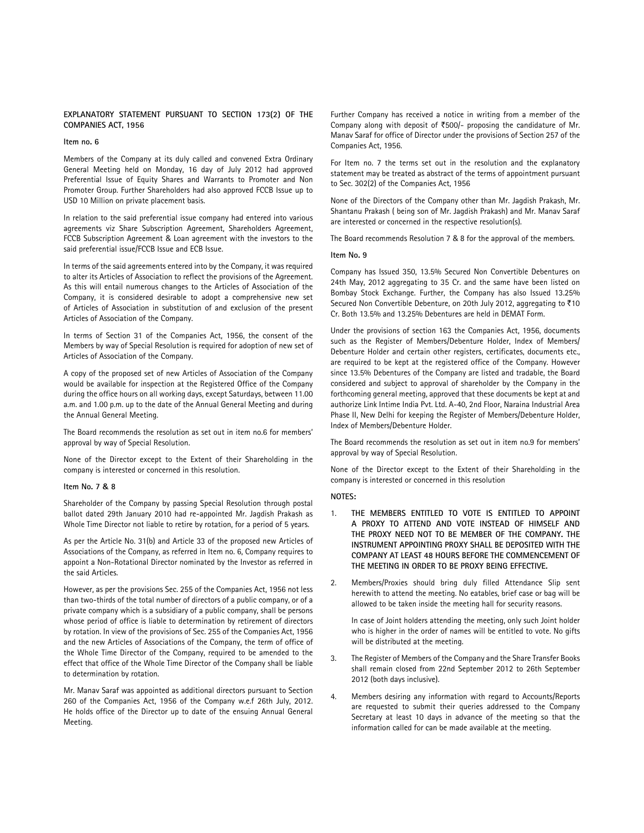### **EXPLANATORY STATEMENT PURSUANT TO SECTION 173(2) OF THE COMPANIES ACT, 1956**

#### **Item no. 6**

Members of the Company at its duly called and convened Extra Ordinary General Meeting held on Monday, 16 day of July 2012 had approved Preferential Issue of Equity Shares and Warrants to Promoter and Non Promoter Group. Further Shareholders had also approved FCCB Issue up to USD 10 Million on private placement basis.

In relation to the said preferential issue company had entered into various agreements viz Share Subscription Agreement, Shareholders Agreement, FCCB Subscription Agreement & Loan agreement with the investors to the said preferential issue/FCCB Issue and ECB Issue.

In terms of the said agreements entered into by the Company, it was required to alter its Articles of Association to reflect the provisions of the Agreement. As this will entail numerous changes to the Articles of Association of the Company, it is considered desirable to adopt a comprehensive new set of Articles of Association in substitution of and exclusion of the present Articles of Association of the Company.

In terms of Section 31 of the Companies Act, 1956, the consent of the Members by way of Special Resolution is required for adoption of new set of Articles of Association of the Company.

A copy of the proposed set of new Articles of Association of the Company would be available for inspection at the Registered Office of the Company during the office hours on all working days, except Saturdays, between 11.00 a.m. and 1.00 p.m. up to the date of the Annual General Meeting and during the Annual General Meeting.

The Board recommends the resolution as set out in item no.6 for members' approval by way of Special Resolution.

None of the Director except to the Extent of their Shareholding in the company is interested or concerned in this resolution.

#### **Item No. 7 & 8**

Shareholder of the Company by passing Special Resolution through postal ballot dated 29th January 2010 had re-appointed Mr. Jagdish Prakash as Whole Time Director not liable to retire by rotation, for a period of 5 years.

As per the Article No. 31(b) and Article 33 of the proposed new Articles of Associations of the Company, as referred in Item no. 6, Company requires to appoint a Non-Rotational Director nominated by the Investor as referred in the said Articles.

However, as per the provisions Sec. 255 of the Companies Act, 1956 not less than two-thirds of the total number of directors of a public company, or of a private company which is a subsidiary of a public company, shall be persons whose period of office is liable to determination by retirement of directors by rotation. In view of the provisions of Sec. 255 of the Companies Act, 1956 and the new Articles of Associations of the Company, the term of office of the Whole Time Director of the Company, required to be amended to the effect that office of the Whole Time Director of the Company shall be liable to determination by rotation.

Mr. Manav Saraf was appointed as additional directors pursuant to Section 260 of the Companies Act, 1956 of the Company w.e.f 26th July, 2012. He holds office of the Director up to date of the ensuing Annual General Meeting.

Further Company has received a notice in writing from a member of the Company along with deposit of  $\text{\texttt{F500}}$  proposing the candidature of Mr. Manav Saraf for office of Director under the provisions of Section 257 of the Companies Act, 1956.

For Item no. 7 the terms set out in the resolution and the explanatory statement may be treated as abstract of the terms of appointment pursuant to Sec. 302(2) of the Companies Act, 1956

None of the Directors of the Company other than Mr. Jagdish Prakash, Mr. Shantanu Prakash ( being son of Mr. Jagdish Prakash) and Mr. Manav Saraf are interested or concerned in the respective resolution(s).

The Board recommends Resolution 7 & 8 for the approval of the members.

#### **Item No. 9**

Company has Issued 350, 13.5% Secured Non Convertible Debentures on 24th May, 2012 aggregating to 35 Cr. and the same have been listed on Bombay Stock Exchange. Further, the Company has also Issued 13.25% Secured Non Convertible Debenture, on 20th July 2012, aggregating to  $\bar{z}$ 10 Cr. Both 13.5% and 13.25% Debentures are held in DEMAT Form.

Under the provisions of section 163 the Companies Act, 1956, documents such as the Register of Members/Debenture Holder, Index of Members/ Debenture Holder and certain other registers, certificates, documents etc., are required to be kept at the registered office of the Company. However since 13.5% Debentures of the Company are listed and tradable, the Board considered and subject to approval of shareholder by the Company in the forthcoming general meeting, approved that these documents be kept at and authorize Link Intime India Pvt. Ltd. A-40, 2nd Floor, Naraina Industrial Area Phase II, New Delhi for keeping the Register of Members/Debenture Holder, Index of Members/Debenture Holder.

The Board recommends the resolution as set out in item no.9 for members' approval by way of Special Resolution.

None of the Director except to the Extent of their Shareholding in the company is interested or concerned in this resolution

# **NOTES:**

- 1. **THE MEMBERS ENTITLED TO VOTE IS ENTITLED TO APPOINT A PROXY TO ATTEND AND VOTE INSTEAD OF HIMSELF AND THE PROXY NEED NOT TO BE MEMBER OF THE COMPANY. THE INSTRUMENT APPOINTING PROXY SHALL BE DEPOSITED WITH THE COMPANY AT LEAST 48 HOURS BEFORE THE COMMENCEMENT OF THE MEETING IN ORDER TO BE PROXY BEING EFFECTIVE.**
- 2. Members/Proxies should bring duly filled Attendance Slip sent herewith to attend the meeting. No eatables, brief case or bag will be allowed to be taken inside the meeting hall for security reasons.

 In case of Joint holders attending the meeting, only such Joint holder who is higher in the order of names will be entitled to vote. No gifts will be distributed at the meeting.

- 3. The Register of Members of the Company and the Share Transfer Books shall remain closed from 22nd September 2012 to 26th September 2012 (both days inclusive).
- 4. Members desiring any information with regard to Accounts/Reports are requested to submit their queries addressed to the Company Secretary at least 10 days in advance of the meeting so that the information called for can be made available at the meeting.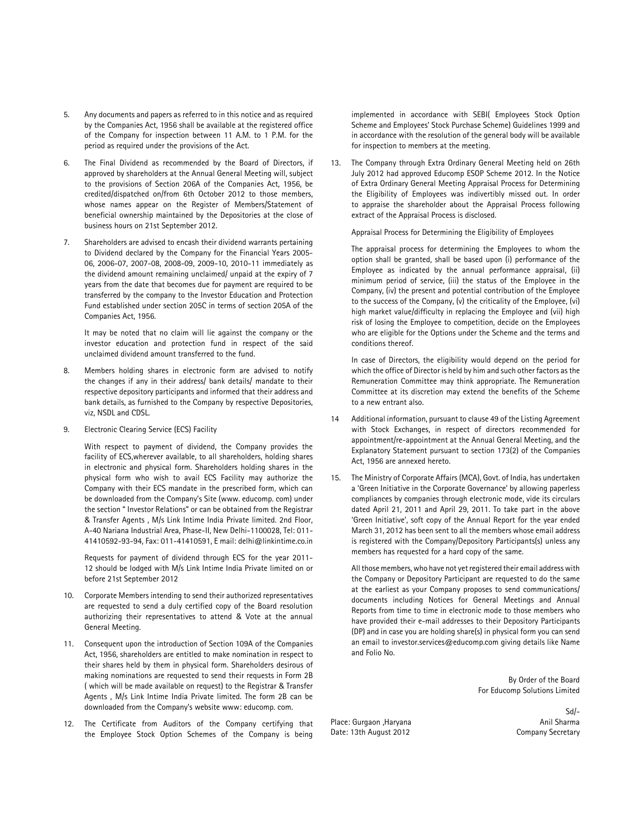- 5. Any documents and papers as referred to in this notice and as required by the Companies Act, 1956 shall be available at the registered office of the Company for inspection between 11 A.M. to 1 P.M. for the period as required under the provisions of the Act.
- 6. The Final Dividend as recommended by the Board of Directors, if approved by shareholders at the Annual General Meeting will, subject to the provisions of Section 206A of the Companies Act, 1956, be credited/dispatched on/from 6th October 2012 to those members, whose names appear on the Register of Members/Statement of beneficial ownership maintained by the Depositories at the close of business hours on 21st September 2012.
- 7. Shareholders are advised to encash their dividend warrants pertaining to Dividend declared by the Company for the Financial Years 2005- 06, 2006-07, 2007-08, 2008-09, 2009-10, 2010-11 immediately as the dividend amount remaining unclaimed/ unpaid at the expiry of 7 years from the date that becomes due for payment are required to be transferred by the company to the Investor Education and Protection Fund established under section 205C in terms of section 205A of the Companies Act, 1956.

 It may be noted that no claim will lie against the company or the investor education and protection fund in respect of the said unclaimed dividend amount transferred to the fund.

- 8. Members holding shares in electronic form are advised to notify the changes if any in their address/ bank details/ mandate to their respective depository participants and informed that their address and bank details, as furnished to the Company by respective Depositories, viz, NSDL and CDSL.
- 9. Electronic Clearing Service (ECS) Facility

 With respect to payment of dividend, the Company provides the facility of ECS,wherever available, to all shareholders, holding shares in electronic and physical form. Shareholders holding shares in the physical form who wish to avail ECS Facility may authorize the Company with their ECS mandate in the prescribed form, which can be downloaded from the Company's Site (www. educomp. com) under the section " Investor Relations" or can be obtained from the Registrar & Transfer Agents , M/s Link Intime India Private limited. 2nd Floor, A-40 Nariana Industrial Area, Phase-II, New Delhi-1100028, Tel: 011- 41410592-93-94, Fax: 011-41410591, E mail: delhi@linkintime.co.in

 Requests for payment of dividend through ECS for the year 2011- 12 should be lodged with M/s Link Intime India Private limited on or before 21st September 2012

- 10. Corporate Members intending to send their authorized representatives are requested to send a duly certified copy of the Board resolution authorizing their representatives to attend & Vote at the annual General Meeting.
- 11. Consequent upon the introduction of Section 109A of the Companies Act, 1956, shareholders are entitled to make nomination in respect to their shares held by them in physical form. Shareholders desirous of making nominations are requested to send their requests in Form 2B ( which will be made available on request) to the Registrar & Transfer Agents , M/s Link Intime India Private limited. The form 2B can be downloaded from the Company's website www: educomp. com.
- 12. The Certificate from Auditors of the Company certifying that the Employee Stock Option Schemes of the Company is being

implemented in accordance with SEBI( Employees Stock Option Scheme and Employees' Stock Purchase Scheme) Guidelines 1999 and in accordance with the resolution of the general body will be available for inspection to members at the meeting.

13. The Company through Extra Ordinary General Meeting held on 26th July 2012 had approved Educomp ESOP Scheme 2012. In the Notice of Extra Ordinary General Meeting Appraisal Process for Determining the Eligibility of Employees was indivertibly missed out. In order to appraise the shareholder about the Appraisal Process following extract of the Appraisal Process is disclosed.

Appraisal Process for Determining the Eligibility of Employees

The appraisal process for determining the Employees to whom the option shall be granted, shall be based upon (i) performance of the Employee as indicated by the annual performance appraisal, (ii) minimum period of service, (iii) the status of the Employee in the Company, (iv) the present and potential contribution of the Employee to the success of the Company, (v) the criticality of the Employee, (vi) high market value/difficulty in replacing the Employee and (vii) high risk of losing the Employee to competition, decide on the Employees who are eligible for the Options under the Scheme and the terms and conditions thereof.

In case of Directors, the eligibility would depend on the period for which the office of Director is held by him and such other factors as the Remuneration Committee may think appropriate. The Remuneration Committee at its discretion may extend the benefits of the Scheme to a new entrant also.

- Additional information, pursuant to clause 49 of the Listing Agreement with Stock Exchanges, in respect of directors recommended for appointment/re-appointment at the Annual General Meeting, and the Explanatory Statement pursuant to section 173(2) of the Companies Act, 1956 are annexed hereto.
- 15. The Ministry of Corporate Affairs (MCA), Govt. of India, has undertaken a 'Green Initiative in the Corporate Governance' by allowing paperless compliances by companies through electronic mode, vide its circulars dated April 21, 2011 and April 29, 2011. To take part in the above 'Green Initiative', soft copy of the Annual Report for the year ended March 31, 2012 has been sent to all the members whose email address is registered with the Company/Depository Participants(s) unless any members has requested for a hard copy of the same.

 All those members, who have not yet registered their email address with the Company or Depository Participant are requested to do the same at the earliest as your Company proposes to send communications/ documents including Notices for General Meetings and Annual Reports from time to time in electronic mode to those members who have provided their e-mail addresses to their Depository Participants (DP) and in case you are holding share(s) in physical form you can send an email to investor.services@educomp.com giving details like Name and Folio No.

> By Order of the Board For Educomp Solutions Limited

Place: Gurgaon , Haryana Anil Sharma Date: 13th August 2012 Company Secretary

Sd/-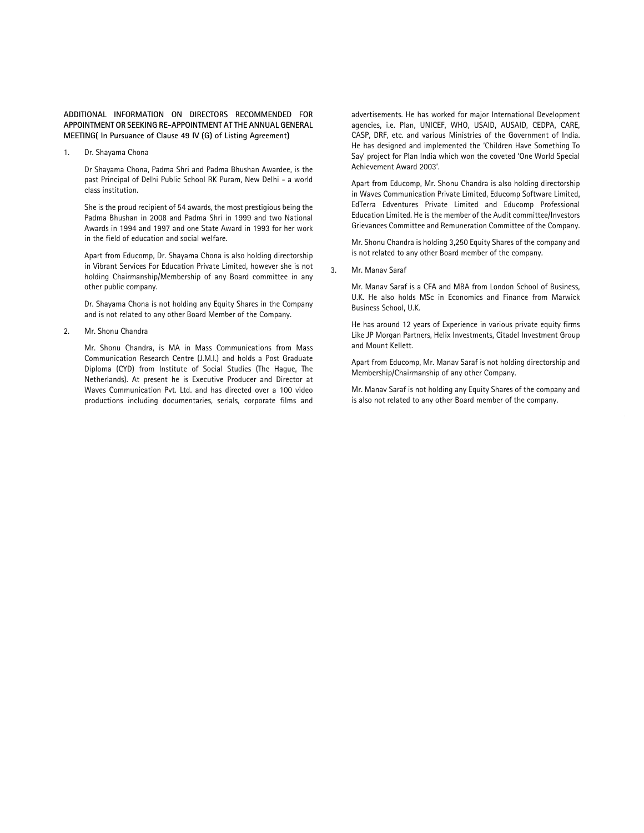# **ADDITIONAL INFORMATION ON DIRECTORS RECOMMENDED FOR APPOINTMENT OR SEEKING RE-APPOINTMENT AT THE ANNUAL GENERAL MEETING( In Pursuance of Clause 49 IV (G) of Listing Agreement)**

1. Dr. Shayama Chona

Dr Shayama Chona, Padma Shri and Padma Bhushan Awardee, is the past Principal of Delhi Public School RK Puram, New Delhi - a world class institution.

She is the proud recipient of 54 awards, the most prestigious being the Padma Bhushan in 2008 and Padma Shri in 1999 and two National Awards in 1994 and 1997 and one State Award in 1993 for her work in the field of education and social welfare.

Apart from Educomp, Dr. Shayama Chona is also holding directorship in Vibrant Services For Education Private Limited, however she is not holding Chairmanship/Membership of any Board committee in any other public company.

Dr. Shayama Chona is not holding any Equity Shares in the Company and is not related to any other Board Member of the Company.

2. Mr. Shonu Chandra

Mr. Shonu Chandra, is MA in Mass Communications from Mass Communication Research Centre (J.M.I.) and holds a Post Graduate Diploma (CYD) from Institute of Social Studies (The Hague, The Netherlands). At present he is Executive Producer and Director at Waves Communication Pvt. Ltd. and has directed over a 100 video productions including documentaries, serials, corporate films and

advertisements. He has worked for major International Development agencies, i.e. Plan, UNICEF, WHO, USAID, AUSAID, CEDPA, CARE, CASP, DRF, etc. and various Ministries of the Government of India. He has designed and implemented the 'Children Have Something To Say' project for Plan India which won the coveted 'One World Special Achievement Award 2003'.

Apart from Educomp, Mr. Shonu Chandra is also holding directorship in Waves Communication Private Limited, Educomp Software Limited, EdTerra Edventures Private Limited and Educomp Professional Education Limited. He is the member of the Audit committee/Investors Grievances Committee and Remuneration Committee of the Company.

Mr. Shonu Chandra is holding 3,250 Equity Shares of the company and is not related to any other Board member of the company.

3. Mr. Manav Saraf

Mr. Manav Saraf is a CFA and MBA from London School of Business, U.K. He also holds MSc in Economics and Finance from Marwick Business School, U.K.

He has around 12 years of Experience in various private equity firms Like JP Morgan Partners, Helix Investments, Citadel Investment Group and Mount Kellett.

Apart from Educomp, Mr. Manav Saraf is not holding directorship and Membership/Chairmanship of any other Company.

Mr. Manav Saraf is not holding any Equity Shares of the company and is also not related to any other Board member of the company.